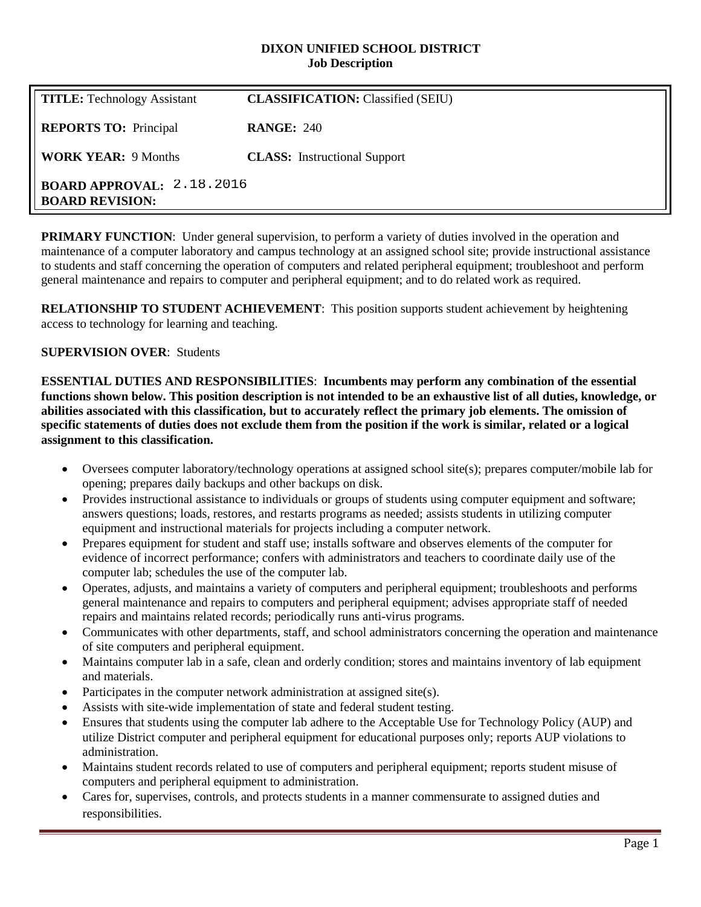#### **DIXON UNIFIED SCHOOL DISTRICT Job Description**

| <b>TITLE:</b> Technology Assistant                         | <b>CLASSIFICATION:</b> Classified (SEIU) |
|------------------------------------------------------------|------------------------------------------|
| <b>REPORTS TO:</b> Principal                               | <b>RANGE: 240</b>                        |
| <b>WORK YEAR: 9 Months</b>                                 | <b>CLASS:</b> Instructional Support      |
| <b>BOARD APPROVAL: 2.18.2016</b><br><b>BOARD REVISION:</b> |                                          |

**PRIMARY FUNCTION:** Under general supervision, to perform a variety of duties involved in the operation and maintenance of a computer laboratory and campus technology at an assigned school site; provide instructional assistance to students and staff concerning the operation of computers and related peripheral equipment; troubleshoot and perform general maintenance and repairs to computer and peripheral equipment; and to do related work as required.

**RELATIONSHIP TO STUDENT ACHIEVEMENT**: This position supports student achievement by heightening access to technology for learning and teaching.

## **SUPERVISION OVER**: Students

**ESSENTIAL DUTIES AND RESPONSIBILITIES**: **Incumbents may perform any combination of the essential functions shown below. This position description is not intended to be an exhaustive list of all duties, knowledge, or abilities associated with this classification, but to accurately reflect the primary job elements. The omission of specific statements of duties does not exclude them from the position if the work is similar, related or a logical assignment to this classification.**

- Oversees computer laboratory/technology operations at assigned school site(s); prepares computer/mobile lab for opening; prepares daily backups and other backups on disk.
- Provides instructional assistance to individuals or groups of students using computer equipment and software; answers questions; loads, restores, and restarts programs as needed; assists students in utilizing computer equipment and instructional materials for projects including a computer network.
- Prepares equipment for student and staff use; installs software and observes elements of the computer for evidence of incorrect performance; confers with administrators and teachers to coordinate daily use of the computer lab; schedules the use of the computer lab.
- Operates, adjusts, and maintains a variety of computers and peripheral equipment; troubleshoots and performs general maintenance and repairs to computers and peripheral equipment; advises appropriate staff of needed repairs and maintains related records; periodically runs anti-virus programs.
- Communicates with other departments, staff, and school administrators concerning the operation and maintenance of site computers and peripheral equipment.
- Maintains computer lab in a safe, clean and orderly condition; stores and maintains inventory of lab equipment and materials.
- Participates in the computer network administration at assigned site(s).
- Assists with site-wide implementation of state and federal student testing.
- Ensures that students using the computer lab adhere to the Acceptable Use for Technology Policy (AUP) and utilize District computer and peripheral equipment for educational purposes only; reports AUP violations to administration.
- Maintains student records related to use of computers and peripheral equipment; reports student misuse of computers and peripheral equipment to administration.
- Cares for, supervises, controls, and protects students in a manner commensurate to assigned duties and responsibilities.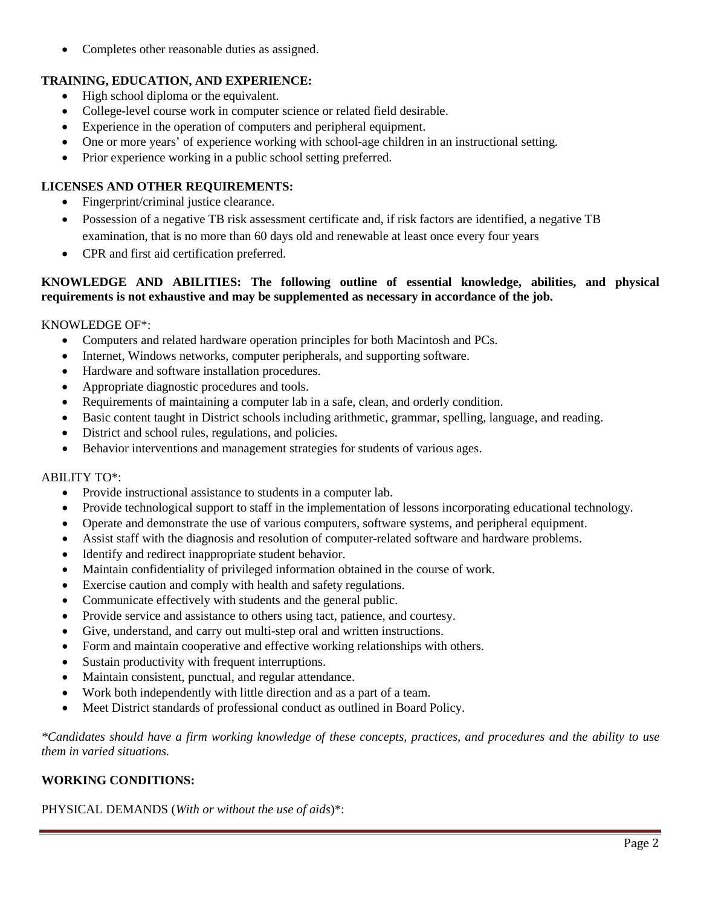• Completes other reasonable duties as assigned.

# **TRAINING, EDUCATION, AND EXPERIENCE:**

- High school diploma or the equivalent.
- College-level course work in computer science or related field desirable.
- Experience in the operation of computers and peripheral equipment.
- One or more years' of experience working with school-age children in an instructional setting.
- Prior experience working in a public school setting preferred.

### **LICENSES AND OTHER REQUIREMENTS:**

- Fingerprint/criminal justice clearance.
- Possession of a negative TB risk assessment certificate and, if risk factors are identified, a negative TB examination, that is no more than 60 days old and renewable at least once every four years
- CPR and first aid certification preferred.

### **KNOWLEDGE AND ABILITIES: The following outline of essential knowledge, abilities, and physical requirements is not exhaustive and may be supplemented as necessary in accordance of the job.**

#### KNOWLEDGE OF\*:

- Computers and related hardware operation principles for both Macintosh and PCs.
- Internet, Windows networks, computer peripherals, and supporting software.
- Hardware and software installation procedures.
- Appropriate diagnostic procedures and tools.
- Requirements of maintaining a computer lab in a safe, clean, and orderly condition.
- Basic content taught in District schools including arithmetic, grammar, spelling, language, and reading.
- District and school rules, regulations, and policies.
- Behavior interventions and management strategies for students of various ages.

#### ABILITY TO\*:

- Provide instructional assistance to students in a computer lab.
- Provide technological support to staff in the implementation of lessons incorporating educational technology.
- Operate and demonstrate the use of various computers, software systems, and peripheral equipment.
- Assist staff with the diagnosis and resolution of computer-related software and hardware problems.
- Identify and redirect inappropriate student behavior.
- Maintain confidentiality of privileged information obtained in the course of work.
- Exercise caution and comply with health and safety regulations.
- Communicate effectively with students and the general public.
- Provide service and assistance to others using tact, patience, and courtesy.
- Give, understand, and carry out multi-step oral and written instructions.
- Form and maintain cooperative and effective working relationships with others.
- Sustain productivity with frequent interruptions.
- Maintain consistent, punctual, and regular attendance.
- Work both independently with little direction and as a part of a team.
- Meet District standards of professional conduct as outlined in Board Policy.

*\*Candidates should have a firm working knowledge of these concepts, practices, and procedures and the ability to use them in varied situations.*

## **WORKING CONDITIONS:**

PHYSICAL DEMANDS (*With or without the use of aids*)\*: